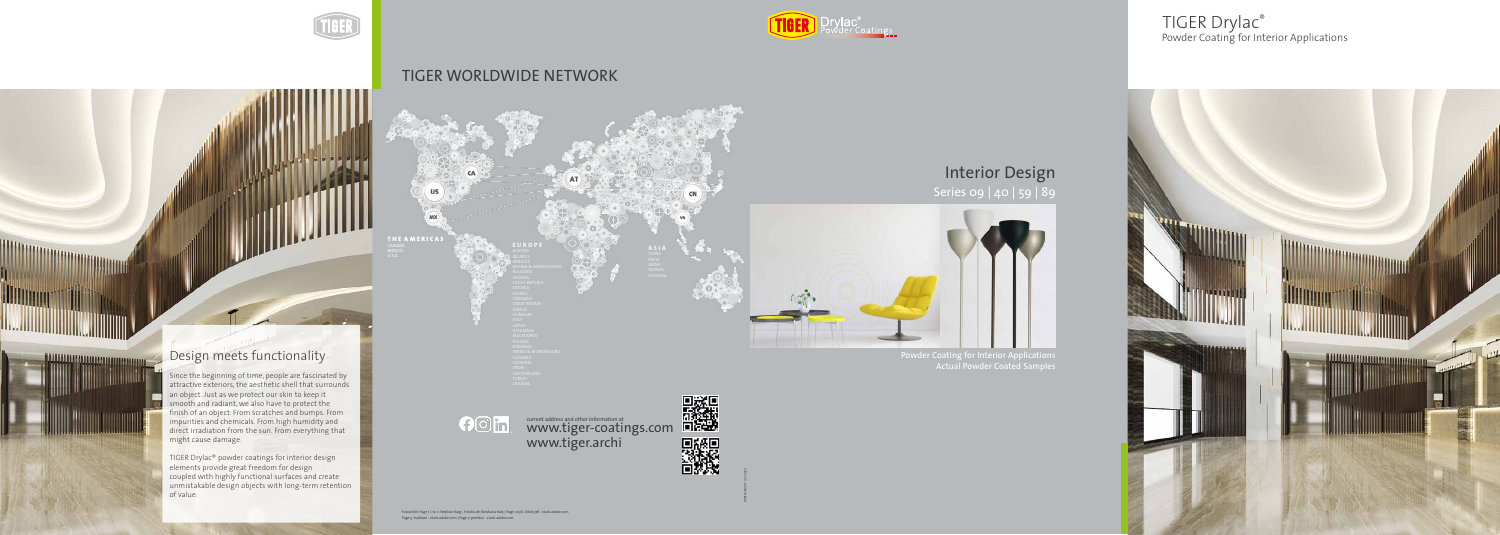998101140087 | 03/2020



## TIGER WORLDWIDE NETWORK

CA

E U R O P E

Fotocredit: Page 1 l. to r.: Stephan Karg - Fotolia.de; Rotaliana Italy | Page 2/3/6: dit26978 - stock.adobe.com Page 5: haitham - stock.adobe.com | Page 7: peshkov - stock.adobe.com



Powder Coating for Interior Applications Actual Powder Coated Samples

Since the beginning of time, people are fascinated by<br>sthe stive substitute the seatherise hall that sums wede attractive exteriors, the acstrictic shen that surround an object. Just as we protect our shirt to keep it  $r_{\text{re}}$  and the face that is understanding the internal state  $r_{\text{re}}$  $C$  contains and chemicals, indiring that manipulate and the stringent  $C$ quelit requirements for community and containing that International and QUALICOAT are turning factor of the coatings of the coatings of the coatings of the coatings of the coatings of the coatings of the coatings of the coatings of the coatings of the coating of the coating o attractive exteriors, the aesthetic shell that surrounds an object. Just as we protect our skin to keep it smooth and radiant, we also have to protect the finish of an object: From scratches and bumps. From impurities and chemicals. From high humidity and direct irradiation from the sun. From everything that

IICED Drugs Resurder section TIGER DRY DRYLAC BERTHE ENDING THE SERIES CONTROL CONTROL CONTROL CONTROL CONTROL CONTROL CONTROL CONTROL CONTR<br>CONTROL CONTROL CONTROL CONTROL CONTROL CONTROL CONTROL CONTROL CONTROL CONTROL CONTROL CONTROL CONTROL CONTRO designed with inging rundtional surfaces and creat unmistakable design objects with long-term retention<br>--<sup>Fund</sup>us  $\sigma$  value. TIGER Drylac® powder coatings for interior design elements provide great freedom for design coupled with highly functional surfaces and create of value.

# $f$ Om

THE AMERICAS

US

(MX)

**MEXICO** 

current address and other information at current address and other information at www.tiger.archi





**WWW.WWWW.AR** 

**JULIAN RE** 



### Powder Coating for Interior Applications TIGER Drylac®